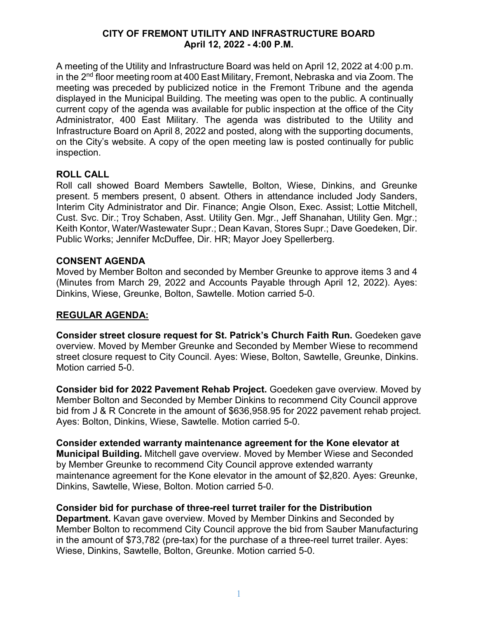## **CITY OF FREMONT UTILITY AND INFRASTRUCTURE BOARD April 12, 2022 - 4:00 P.M.**

A meeting of the Utility and Infrastructure Board was held on April 12, 2022 at 4:00 p.m. in the  $2<sup>nd</sup>$  floor meeting room at 400 East Military, Fremont, Nebraska and via Zoom. The meeting was preceded by publicized notice in the Fremont Tribune and the agenda displayed in the Municipal Building. The meeting was open to the public. A continually current copy of the agenda was available for public inspection at the office of the City Administrator, 400 East Military. The agenda was distributed to the Utility and Infrastructure Board on April 8, 2022 and posted, along with the supporting documents, on the City's website. A copy of the open meeting law is posted continually for public inspection.

## **ROLL CALL**

Roll call showed Board Members Sawtelle, Bolton, Wiese, Dinkins, and Greunke present. 5 members present, 0 absent. Others in attendance included Jody Sanders, Interim City Administrator and Dir. Finance; Angie Olson, Exec. Assist; Lottie Mitchell, Cust. Svc. Dir.; Troy Schaben, Asst. Utility Gen. Mgr., Jeff Shanahan, Utility Gen. Mgr.; Keith Kontor, Water/Wastewater Supr.; Dean Kavan, Stores Supr.; Dave Goedeken, Dir. Public Works; Jennifer McDuffee, Dir. HR; Mayor Joey Spellerberg.

## **CONSENT AGENDA**

Moved by Member Bolton and seconded by Member Greunke to approve items 3 and 4 (Minutes from March 29, 2022 and Accounts Payable through April 12, 2022). Ayes: Dinkins, Wiese, Greunke, Bolton, Sawtelle. Motion carried 5-0.

# **REGULAR AGENDA:**

**Consider street closure request for St. Patrick's Church Faith Run.** Goedeken gave overview. Moved by Member Greunke and Seconded by Member Wiese to recommend street closure request to City Council. Ayes: Wiese, Bolton, Sawtelle, Greunke, Dinkins. Motion carried 5-0.

**Consider bid for 2022 Pavement Rehab Project.** Goedeken gave overview. Moved by Member Bolton and Seconded by Member Dinkins to recommend City Council approve bid from J & R Concrete in the amount of \$636,958.95 for 2022 pavement rehab project. Ayes: Bolton, Dinkins, Wiese, Sawtelle. Motion carried 5-0.

**Consider extended warranty maintenance agreement for the Kone elevator at Municipal Building.** Mitchell gave overview. Moved by Member Wiese and Seconded by Member Greunke to recommend City Council approve extended warranty maintenance agreement for the Kone elevator in the amount of \$2,820. Ayes: Greunke, Dinkins, Sawtelle, Wiese, Bolton. Motion carried 5-0.

## **Consider bid for purchase of three-reel turret trailer for the Distribution**

**Department.** Kavan gave overview. Moved by Member Dinkins and Seconded by Member Bolton to recommend City Council approve the bid from Sauber Manufacturing in the amount of \$73,782 (pre-tax) for the purchase of a three-reel turret trailer. Ayes: Wiese, Dinkins, Sawtelle, Bolton, Greunke. Motion carried 5-0.